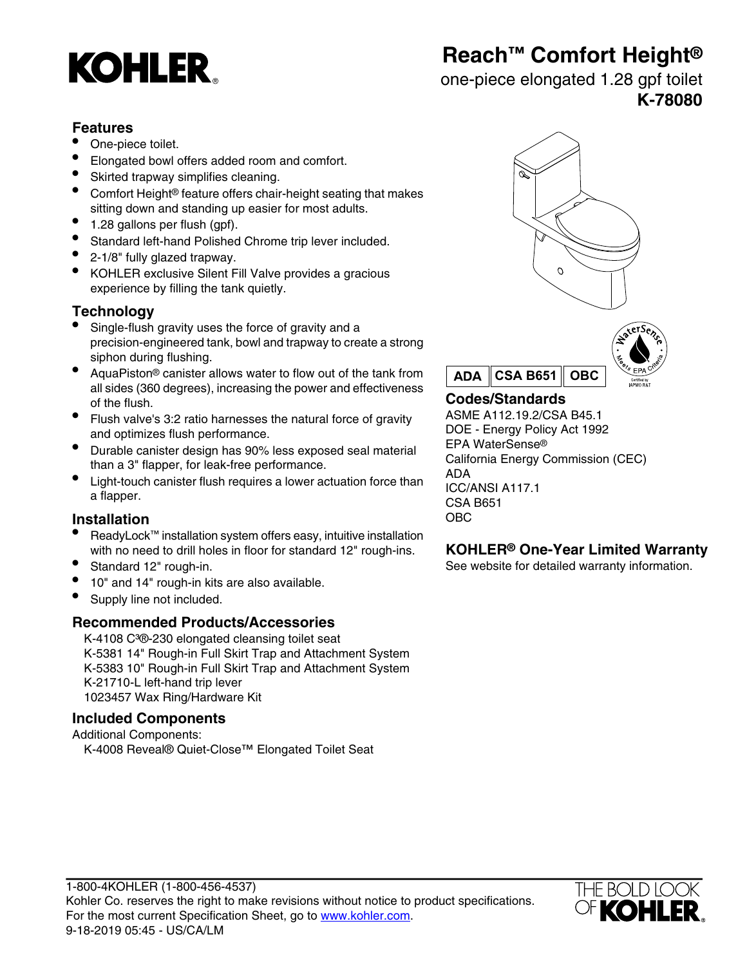# **KOHLER**

# **Reach™ Comfort Height®**

### one-piece elongated 1.28 gpf toilet **K-78080**

#### **Features**

- One-piece toilet.
- Elongated bowl offers added room and comfort.
- Skirted trapway simplifies cleaning.
- Comfort Height® feature offers chair-height seating that makes sitting down and standing up easier for most adults.
- 1.28 gallons per flush (gpf).
- Standard left-hand Polished Chrome trip lever included.
- 2-1/8" fully glazed trapway.
- KOHLER exclusive Silent Fill Valve provides a gracious experience by filling the tank quietly.

### **Technology**

- Single-flush gravity uses the force of gravity and a precision-engineered tank, bowl and trapway to create a strong siphon during flushing.
- AquaPiston® canister allows water to flow out of the tank from all sides (360 degrees), increasing the power and effectiveness of the flush.<br> **Codes/Standards**<br> **Codes/Standards**<br> **Codes/Standards**<br>
ASME A112.19.2/CSA B45.1
- Flush valve's 3:2 ratio harnesses the natural force of gravity **ASME A112.19.2/CSA B45.1**<br>DOE Energy Policy Act 1992 and optimizes flush performance.
- Durable canister design has 90% less exposed seal material Eurabio daristic docigli has selved been performance.<br>
California Energy Commission (CEC)<br>
ADA<br>
ADA
- **•** Light-touch canister flush requires a lower actuation force than  $_{\text{ICC}}$ Eight touch canister hush requires a lower actuation force than ICC/ANSI A117.1

### **Installation** OBC

- ReadyLock™ installation system offers easy, intuitive installation with no need to drill holes in floor for standard 12" rough-ins. **KOHLER® One-Year Limited Warranty**
- 
- 10" and 14" rough-in kits are also available.
- Supply line not included.

### **Recommended Products/Accessories**

K-4108 C<sup>3</sup>®-230 elongated cleansing toilet seat K-5381 14" Rough-in Full Skirt Trap and Attachment System K-5383 10" Rough-in Full Skirt Trap and Attachment System K-21710-L left-hand trip lever 1023457 Wax Ring/Hardware Kit

### **Included Components**

Additional Components: K-4008 Reveal® Quiet-Close™ Elongated Toilet Seat





EPA WaterSense® CSA B651

Standard 12" rough-in. See website for detailed warranty information.